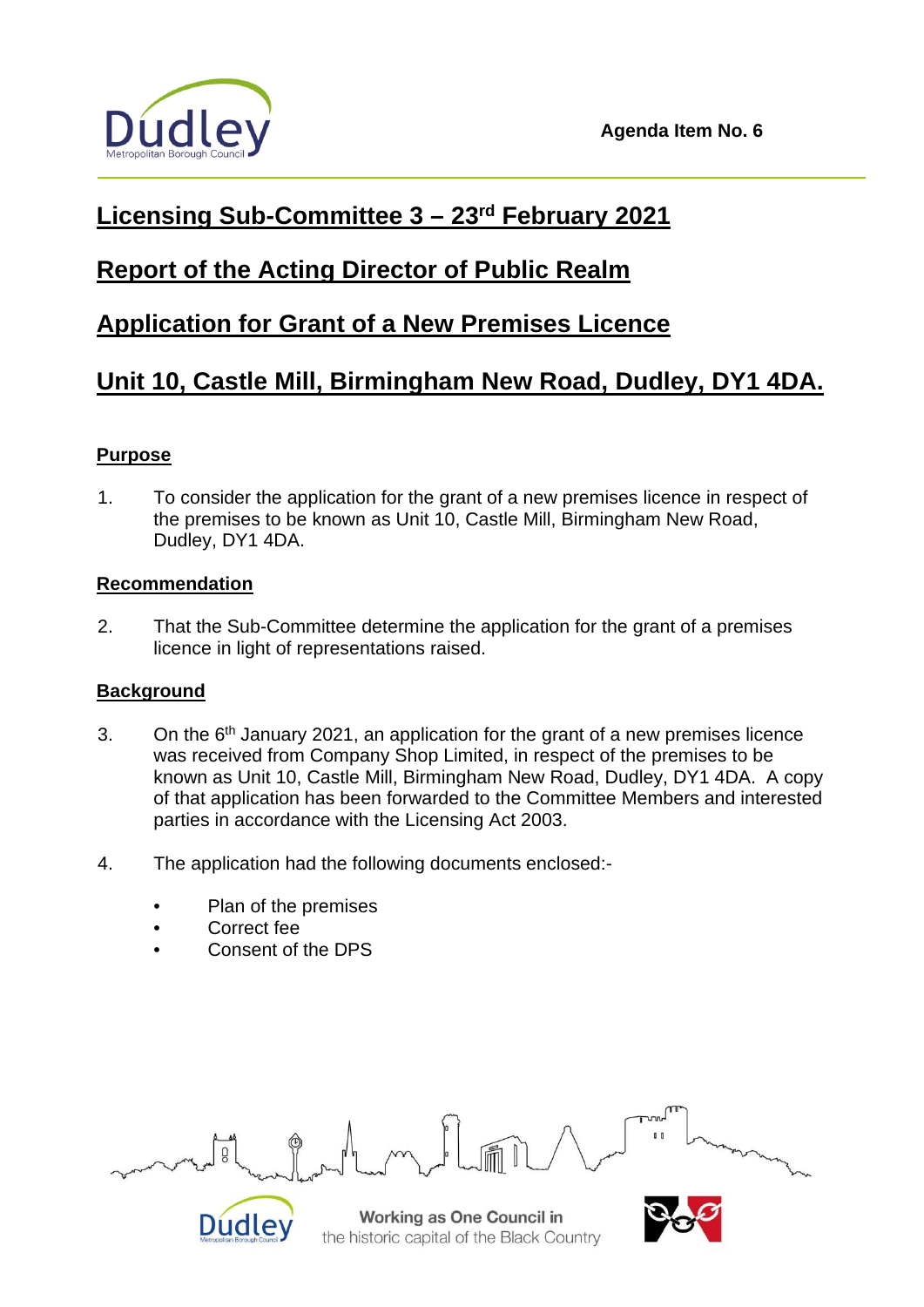

# **Licensing Sub-Committee 3 – 23rd February 2021**

## **Report of the Acting Director of Public Realm**

## **Application for Grant of a New Premises Licence**

# **Unit 10, Castle Mill, Birmingham New Road, Dudley, DY1 4DA.**

## **Purpose**

1. To consider the application for the grant of a new premises licence in respect of the premises to be known as Unit 10, Castle Mill, Birmingham New Road, Dudley, DY1 4DA.

## **Recommendation**

2. That the Sub-Committee determine the application for the grant of a premises licence in light of representations raised.

## **Background**

- 3. On the 6<sup>th</sup> January 2021, an application for the grant of a new premises licence was received from Company Shop Limited, in respect of the premises to be known as Unit 10, Castle Mill, Birmingham New Road, Dudley, DY1 4DA. A copy of that application has been forwarded to the Committee Members and interested parties in accordance with the Licensing Act 2003.
- 4. The application had the following documents enclosed:-
	- Plan of the premises
	- Correct fee
	- Consent of the DPS

**Dudley** 

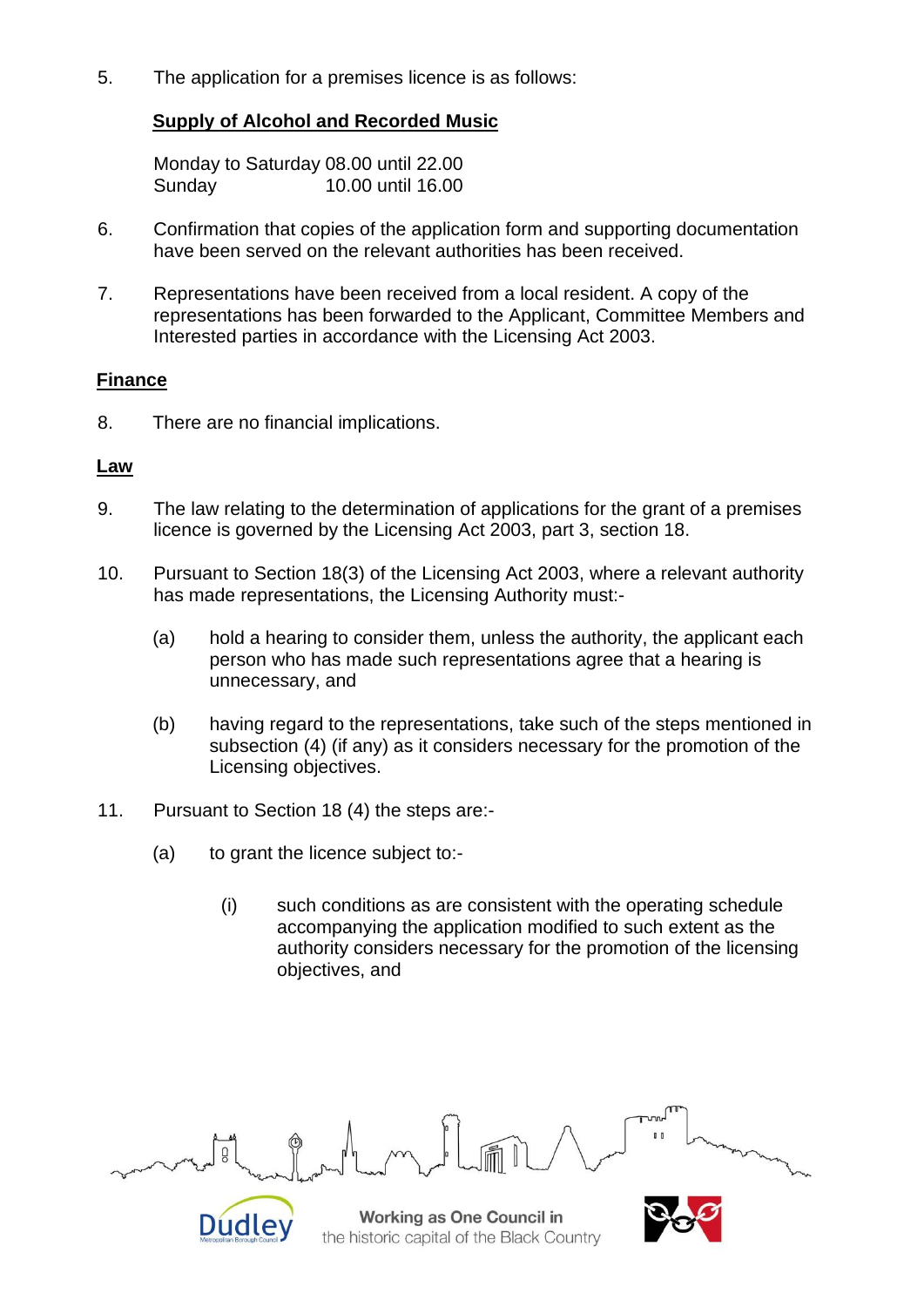5. The application for a premises licence is as follows:

## **Supply of Alcohol and Recorded Music**

Monday to Saturday 08.00 until 22.00 Sunday 10.00 until 16.00

- 6. Confirmation that copies of the application form and supporting documentation have been served on the relevant authorities has been received.
- 7. Representations have been received from a local resident. A copy of the representations has been forwarded to the Applicant, Committee Members and Interested parties in accordance with the Licensing Act 2003.

#### **Finance**

8. There are no financial implications.

#### **Law**

- 9. The law relating to the determination of applications for the grant of a premises licence is governed by the Licensing Act 2003, part 3, section 18.
- 10. Pursuant to Section 18(3) of the Licensing Act 2003, where a relevant authority has made representations, the Licensing Authority must:-
	- (a) hold a hearing to consider them, unless the authority, the applicant each person who has made such representations agree that a hearing is unnecessary, and
	- (b) having regard to the representations, take such of the steps mentioned in subsection (4) (if any) as it considers necessary for the promotion of the Licensing objectives.
- 11. Pursuant to Section 18 (4) the steps are:-

**Dudley** 

- (a) to grant the licence subject to:-
	- (i) such conditions as are consistent with the operating schedule accompanying the application modified to such extent as the authority considers necessary for the promotion of the licensing objectives, and

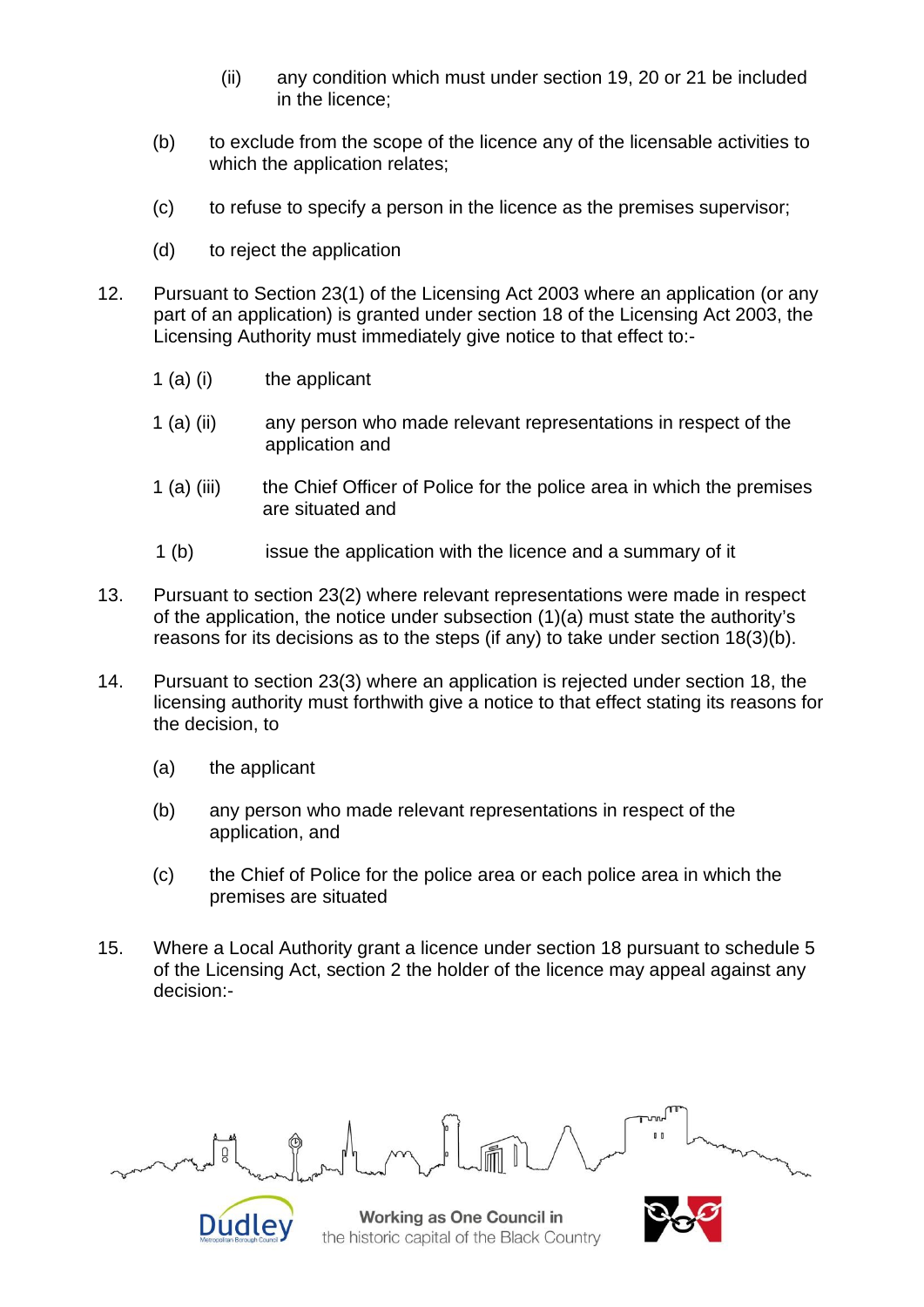- (ii) any condition which must under section 19, 20 or 21 be included in the licence;
- (b) to exclude from the scope of the licence any of the licensable activities to which the application relates:
- (c) to refuse to specify a person in the licence as the premises supervisor;
- (d) to reject the application
- 12. Pursuant to Section 23(1) of the Licensing Act 2003 where an application (or any part of an application) is granted under section 18 of the Licensing Act 2003, the Licensing Authority must immediately give notice to that effect to:-
	- 1 (a) (i) the applicant
	- 1 (a) (ii) any person who made relevant representations in respect of the application and
	- 1 (a) (iii) the Chief Officer of Police for the police area in which the premises are situated and
	- 1 (b) issue the application with the licence and a summary of it
- 13. Pursuant to section 23(2) where relevant representations were made in respect of the application, the notice under subsection (1)(a) must state the authority's reasons for its decisions as to the steps (if any) to take under section 18(3)(b).
- 14. Pursuant to section 23(3) where an application is rejected under section 18, the licensing authority must forthwith give a notice to that effect stating its reasons for the decision, to
	- (a) the applicant

**Dudley** 

- (b) any person who made relevant representations in respect of the application, and
- (c) the Chief of Police for the police area or each police area in which the premises are situated
- 15. Where a Local Authority grant a licence under section 18 pursuant to schedule 5 of the Licensing Act, section 2 the holder of the licence may appeal against any decision:-

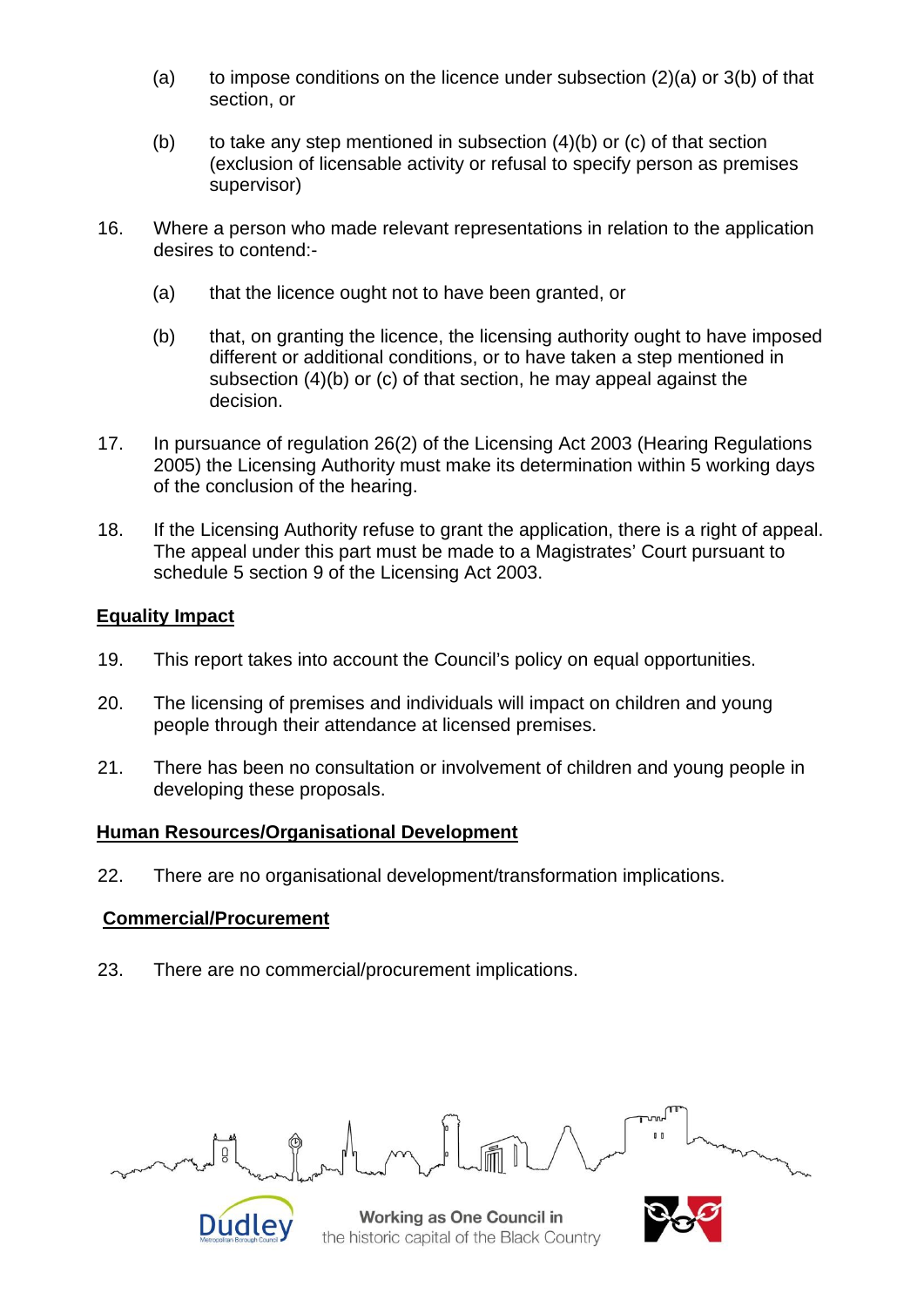- (a) to impose conditions on the licence under subsection  $(2)(a)$  or  $3(b)$  of that section, or
- (b) to take any step mentioned in subsection (4)(b) or (c) of that section (exclusion of licensable activity or refusal to specify person as premises supervisor)
- 16. Where a person who made relevant representations in relation to the application desires to contend:-
	- (a) that the licence ought not to have been granted, or
	- (b) that, on granting the licence, the licensing authority ought to have imposed different or additional conditions, or to have taken a step mentioned in subsection (4)(b) or (c) of that section, he may appeal against the decision.
- 17. In pursuance of regulation 26(2) of the Licensing Act 2003 (Hearing Regulations 2005) the Licensing Authority must make its determination within 5 working days of the conclusion of the hearing.
- 18. If the Licensing Authority refuse to grant the application, there is a right of appeal. The appeal under this part must be made to a Magistrates' Court pursuant to schedule 5 section 9 of the Licensing Act 2003.

## **Equality Impact**

- 19. This report takes into account the Council's policy on equal opportunities.
- 20. The licensing of premises and individuals will impact on children and young people through their attendance at licensed premises.
- 21. There has been no consultation or involvement of children and young people in developing these proposals.

#### **Human Resources/Organisational Development**

22. There are no organisational development/transformation implications.

## **Commercial/Procurement**

23. There are no commercial/procurement implications.